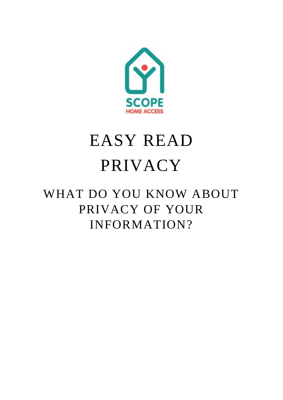

## EASY READ PRIVACY

## WHAT DO YOU KNOW ABOUT PRIVACY OF YOUR INFORMATION?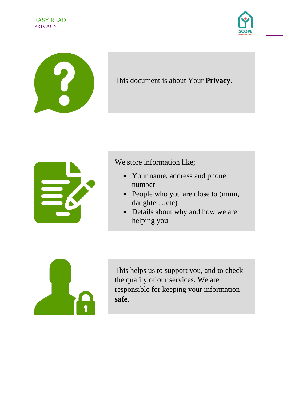



## This document is about Your **Privacy**.



We store information like;

- Your name, address and phone number
- People who you are close to (mum, daughter…etc)
- Details about why and how we are helping you



This helps us to support you, and to check the quality of our services. We are responsible for keeping your information **safe**.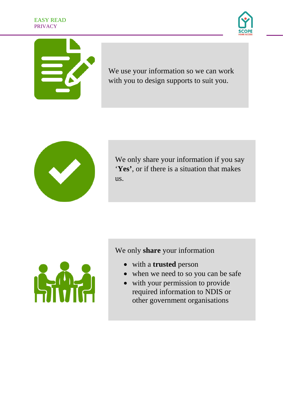





We use your information so we can work with you to design supports to suit you.



We only share your information if you say '**Yes'**, or if there is a situation that makes us.



We only **share** your information

- with a **trusted** person
- when we need to so you can be safe
- with your permission to provide required information to NDIS or other government organisations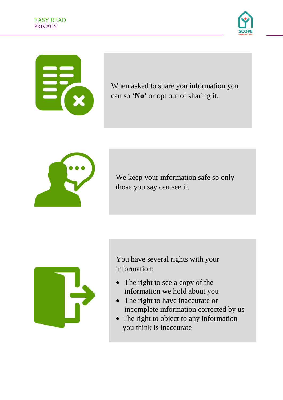





When asked to share you information you can so '**No'** or opt out of sharing it.



We keep your information safe so only those you say can see it.



You have several rights with your information:

- The right to see a copy of the information we hold about you
- The right to have inaccurate or incomplete information corrected by us
- The right to object to any information you think is inaccurate